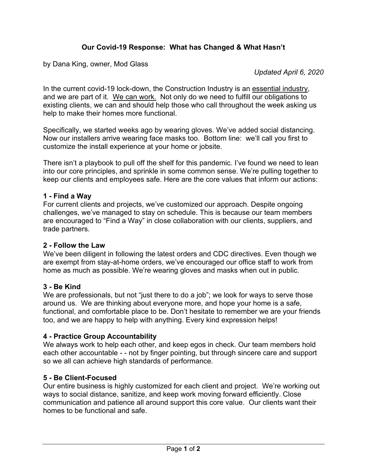# **Our Covid-19 Response: What has Changed & What Hasn't**

by Dana King, owner, Mod Glass

*Updated April 6, 2020* 

In the current covid-19 lock-down, the Construction Industry is an essential industry, and we are part of it. We can work. Not only do we need to fulfill our obligations to existing clients, we can and should help those who call throughout the week asking us help to make their homes more functional.

Specifically, we started weeks ago by wearing gloves. We've added social distancing. Now our installers arrive wearing face masks too. Bottom line: we'll call you first to customize the install experience at your home or jobsite.

There isn't a playbook to pull off the shelf for this pandemic. I've found we need to lean into our core principles, and sprinkle in some common sense. We're pulling together to keep our clients and employees safe. Here are the core values that inform our actions:

#### **1 - Find a Way**

For current clients and projects, we've customized our approach. Despite ongoing challenges, we've managed to stay on schedule. This is because our team members are encouraged to "Find a Way" in close collaboration with our clients, suppliers, and trade partners.

#### **2 - Follow the Law**

We've been diligent in following the latest orders and CDC directives. Even though we are exempt from stay-at-home orders, we've encouraged our office staff to work from home as much as possible. We're wearing gloves and masks when out in public.

#### **3 - Be Kind**

We are professionals, but not "just there to do a job"; we look for ways to serve those around us. We are thinking about everyone more, and hope your home is a safe, functional, and comfortable place to be. Don't hesitate to remember we are your friends too, and we are happy to help with anything. Every kind expression helps!

#### **4 - Practice Group Accountability**

We always work to help each other, and keep egos in check. Our team members hold each other accountable - - not by finger pointing, but through sincere care and support so we all can achieve high standards of performance.

## **5 - Be Client-Focused**

Our entire business is highly customized for each client and project. We're working out ways to social distance, sanitize, and keep work moving forward efficiently. Close communication and patience all around support this core value. Our clients want their homes to be functional and safe.